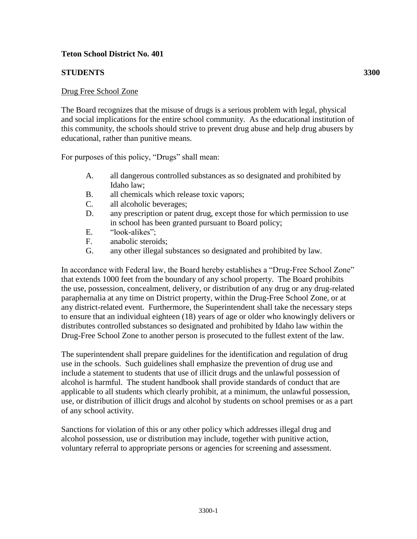## **Teton School District No. 401**

## **STUDENTS 3300**

## Drug Free School Zone

The Board recognizes that the misuse of drugs is a serious problem with legal, physical and social implications for the entire school community. As the educational institution of this community, the schools should strive to prevent drug abuse and help drug abusers by educational, rather than punitive means.

For purposes of this policy, "Drugs" shall mean:

- A. all dangerous controlled substances as so designated and prohibited by Idaho law;
- B. all chemicals which release toxic vapors;
- C. all alcoholic beverages;
- D. any prescription or patent drug, except those for which permission to use in school has been granted pursuant to Board policy;
- E. "look-alikes";
- F. anabolic steroids;
- G. any other illegal substances so designated and prohibited by law.

In accordance with Federal law, the Board hereby establishes a "Drug-Free School Zone" that extends 1000 feet from the boundary of any school property. The Board prohibits the use, possession, concealment, delivery, or distribution of any drug or any drug-related paraphernalia at any time on District property, within the Drug-Free School Zone, or at any district-related event. Furthermore, the Superintendent shall take the necessary steps to ensure that an individual eighteen (18) years of age or older who knowingly delivers or distributes controlled substances so designated and prohibited by Idaho law within the Drug-Free School Zone to another person is prosecuted to the fullest extent of the law.

The superintendent shall prepare guidelines for the identification and regulation of drug use in the schools. Such guidelines shall emphasize the prevention of drug use and include a statement to students that use of illicit drugs and the unlawful possession of alcohol is harmful. The student handbook shall provide standards of conduct that are applicable to all students which clearly prohibit, at a minimum, the unlawful possession, use, or distribution of illicit drugs and alcohol by students on school premises or as a part of any school activity.

Sanctions for violation of this or any other policy which addresses illegal drug and alcohol possession, use or distribution may include, together with punitive action, voluntary referral to appropriate persons or agencies for screening and assessment.